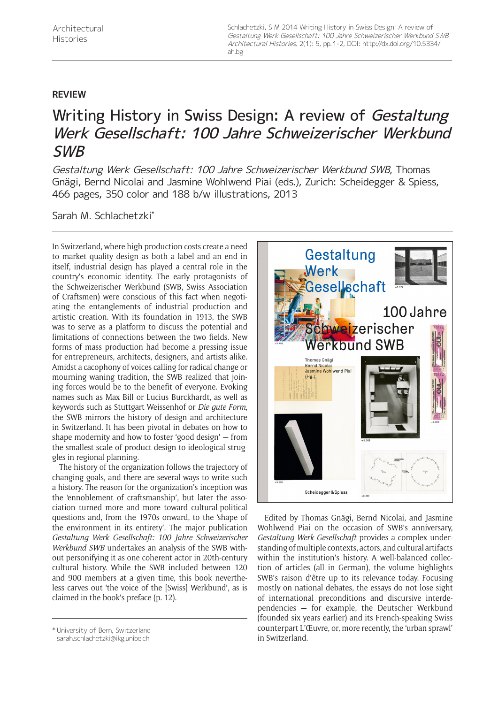Schlachetzki, S M 2014 Writing History in Swiss Design: A review of Gestaltung Werk Gesellschaft: 100 Jahre Schweizerischer Werkbund SWB. Architectural Histories, 2(1): 5, pp. 1-2, DOI: [http://dx.doi.org/10.5334/](http://dx.doi.org/10.5334/ah.bg) [ah.bg](http://dx.doi.org/10.5334/ah.bg)

## **REVIEW**

## Writing History in Swiss Design: A review of Gestaltung Werk Gesellschaft: 100 Jahre Schweizerischer Werkbund SWB

Gestaltung Werk Gesellschaft: 100 Jahre Schweizerischer Werkbund SWB, Thomas Gnägi, Bernd Nicolai and Jasmine Wohlwend Piai (eds.), Zurich: Scheidegger & Spiess, 466 pages, 350 color and 188 b/w illustrations, 2013

Sarah M. Schlachetzki\*

In Switzerland, where high production costs create a need to market quality design as both a label and an end in itself, industrial design has played a central role in the country's economic identity. The early protagonists of the Schweizerischer Werkbund (SWB, Swiss Association of Craftsmen) were conscious of this fact when negotiating the entanglements of industrial production and artistic creation. With its foundation in 1913, the SWB was to serve as a platform to discuss the potential and limitations of connections between the two fields. New forms of mass production had become a pressing issue for entrepreneurs, architects, designers, and artists alike. Amidst a cacophony of voices calling for radical change or mourning waning tradition, the SWB realized that joining forces would be to the benefit of everyone. Evoking names such as Max Bill or Lucius Burckhardt, as well as keywords such as Stuttgart Weissenhof or *Die gute Form*, the SWB mirrors the history of design and architecture in Switzerland. It has been pivotal in debates on how to shape modernity and how to foster 'good design' — from the smallest scale of product design to ideological struggles in regional planning.

The history of the organization follows the trajectory of changing goals, and there are several ways to write such a history. The reason for the organization's inception was the 'ennoblement of craftsmanship', but later the association turned more and more toward cultural-political questions and, from the 1970s onward, to the 'shape of the environment in its entirety'. The major publication *Gestaltung Werk Gesellschaft: 100 Jahre Schweizerischer Werkbund SWB* undertakes an analysis of the SWB without personifying it as one coherent actor in 20th-century cultural history. While the SWB included between 120 and 900 members at a given time, this book nevertheless carves out 'the voice of the [Swiss] Werkbund', as is claimed in the book's preface (p. 12).



Edited by Thomas Gnägi, Bernd Nicolai, and Jasmine Wohlwend Piai on the occasion of SWB's anniversary, *Gestaltung Werk Gesellschaft* provides a complex understanding of multiple contexts, actors, and cultural artifacts within the institution's history. A well-balanced collection of articles (all in German), the volume highlights SWB's raison d'être up to its relevance today. Focusing mostly on national debates, the essays do not lose sight of international preconditions and discursive interdependencies — for example, the Deutscher Werkbund (founded six years earlier) and its French-speaking Swiss counterpart L'Œuvre, or, more recently, the 'urban sprawl'

in Switzerland. \* University of Bern, Switzerland [sarah.schlachetzki@ikg.unibe.ch](mailto:sarah.schlachetzki@ikg.unibe.ch)